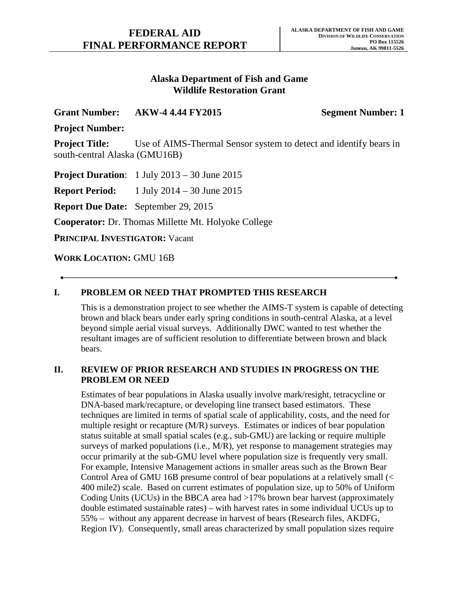# **Alaska Department of Fish and Game Wildlife Restoration Grant**

## **Grant Number: AKW-4 4.44 FY2015 Segment Number: 1**

**Project Number:**

**Project Title:** Use of AIMS-Thermal Sensor system to detect and identify bears in south-central Alaska (GMU16B)

**Project Duration**: 1 July 2013 – 30 June 2015

**Report Period:** 1 July 2014 – 30 June 2015

**Report Due Date:** September 29, 2015

**Cooperator:** Dr. Thomas Millette Mt. Holyoke College

**PRINCIPAL INVESTIGATOR:** Vacant

**WORK LOCATION:** GMU 16B

# **I. PROBLEM OR NEED THAT PROMPTED THIS RESEARCH**

This is a demonstration project to see whether the AIMS-T system is capable of detecting brown and black bears under early spring conditions in south-central Alaska, at a level beyond simple aerial visual surveys. Additionally DWC wanted to test whether the resultant images are of sufficient resolution to differentiate between brown and black bears.

## **II. REVIEW OF PRIOR RESEARCH AND STUDIES IN PROGRESS ON THE PROBLEM OR NEED**

Estimates of bear populations in Alaska usually involve mark/resight, tetracycline or DNA-based mark/recapture, or developing line transect based estimators. These techniques are limited in terms of spatial scale of applicability, costs, and the need for multiple resight or recapture (M/R) surveys. Estimates or indices of bear population status suitable at small spatial scales (e.g., sub-GMU) are lacking or require multiple surveys of marked populations (i.e., M/R), yet response to management strategies may occur primarily at the sub-GMU level where population size is frequently very small. For example, Intensive Management actions in smaller areas such as the Brown Bear Control Area of GMU 16B presume control of bear populations at a relatively small (< 400 mile2) scale. Based on current estimates of population size, up to 50% of Uniform Coding Units (UCUs) in the BBCA area had >17% brown bear harvest (approximately double estimated sustainable rates) – with harvest rates in some individual UCUs up to 55% – without any apparent decrease in harvest of bears (Research files, AKDFG, Region IV). Consequently, small areas characterized by small population sizes require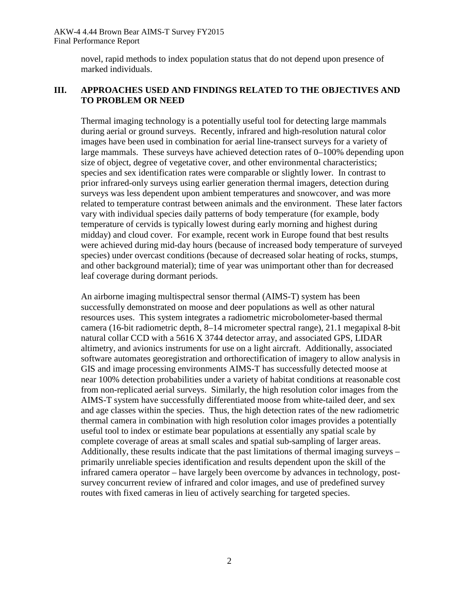AKW-4 4.44 Brown Bear AIMS-T Survey FY2015 Final Performance Report

> novel, rapid methods to index population status that do not depend upon presence of marked individuals.

### **III. APPROACHES USED AND FINDINGS RELATED TO THE OBJECTIVES AND TO PROBLEM OR NEED**

Thermal imaging technology is a potentially useful tool for detecting large mammals during aerial or ground surveys. Recently, infrared and high-resolution natural color images have been used in combination for aerial line-transect surveys for a variety of large mammals. These surveys have achieved detection rates of 0–100% depending upon size of object, degree of vegetative cover, and other environmental characteristics; species and sex identification rates were comparable or slightly lower. In contrast to prior infrared-only surveys using earlier generation thermal imagers, detection during surveys was less dependent upon ambient temperatures and snowcover, and was more related to temperature contrast between animals and the environment. These later factors vary with individual species daily patterns of body temperature (for example, body temperature of cervids is typically lowest during early morning and highest during midday) and cloud cover. For example, recent work in Europe found that best results were achieved during mid-day hours (because of increased body temperature of surveyed species) under overcast conditions (because of decreased solar heating of rocks, stumps, and other background material); time of year was unimportant other than for decreased leaf coverage during dormant periods.

An airborne imaging multispectral sensor thermal (AIMS-T) system has been successfully demonstrated on moose and deer populations as well as other natural resources uses. This system integrates a radiometric microbolometer-based thermal camera (16-bit radiometric depth, 8–14 micrometer spectral range), 21.1 megapixal 8-bit natural collar CCD with a 5616 X 3744 detector array, and associated GPS, LIDAR altimetry, and avionics instruments for use on a light aircraft. Additionally, associated software automates georegistration and orthorectification of imagery to allow analysis in GIS and image processing environments AIMS-T has successfully detected moose at near 100% detection probabilities under a variety of habitat conditions at reasonable cost from non-replicated aerial surveys. Similarly, the high resolution color images from the AIMS-T system have successfully differentiated moose from white-tailed deer, and sex and age classes within the species. Thus, the high detection rates of the new radiometric thermal camera in combination with high resolution color images provides a potentially useful tool to index or estimate bear populations at essentially any spatial scale by complete coverage of areas at small scales and spatial sub-sampling of larger areas. Additionally, these results indicate that the past limitations of thermal imaging surveys – primarily unreliable species identification and results dependent upon the skill of the infrared camera operator – have largely been overcome by advances in technology, postsurvey concurrent review of infrared and color images, and use of predefined survey routes with fixed cameras in lieu of actively searching for targeted species.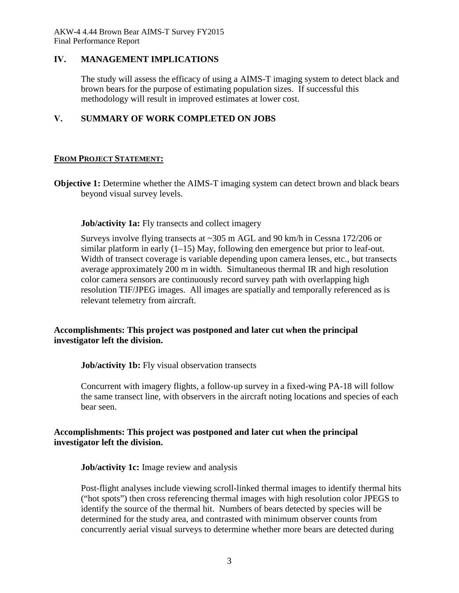AKW-4 4.44 Brown Bear AIMS-T Survey FY2015 Final Performance Report

### **IV. MANAGEMENT IMPLICATIONS**

The study will assess the efficacy of using a AIMS-T imaging system to detect black and brown bears for the purpose of estimating population sizes. If successful this methodology will result in improved estimates at lower cost.

## **V. SUMMARY OF WORK COMPLETED ON JOBS**

### **FROM PROJECT STATEMENT:**

**Objective 1:** Determine whether the AIMS-T imaging system can detect brown and black bears beyond visual survey levels.

#### **Job/activity 1a:** Fly transects and collect imagery

Surveys involve flying transects at ~305 m AGL and 90 km/h in Cessna 172/206 or similar platform in early (1–15) May, following den emergence but prior to leaf-out. Width of transect coverage is variable depending upon camera lenses, etc., but transects average approximately 200 m in width. Simultaneous thermal IR and high resolution color camera sensors are continuously record survey path with overlapping high resolution TIF/JPEG images. All images are spatially and temporally referenced as is relevant telemetry from aircraft.

## **Accomplishments: This project was postponed and later cut when the principal investigator left the division.**

**Job/activity 1b:** Fly visual observation transects

Concurrent with imagery flights, a follow-up survey in a fixed-wing PA-18 will follow the same transect line, with observers in the aircraft noting locations and species of each bear seen.

### **Accomplishments: This project was postponed and later cut when the principal investigator left the division.**

**Job/activity 1c:** Image review and analysis

Post-flight analyses include viewing scroll-linked thermal images to identify thermal hits ("hot spots") then cross referencing thermal images with high resolution color JPEGS to identify the source of the thermal hit. Numbers of bears detected by species will be determined for the study area, and contrasted with minimum observer counts from concurrently aerial visual surveys to determine whether more bears are detected during